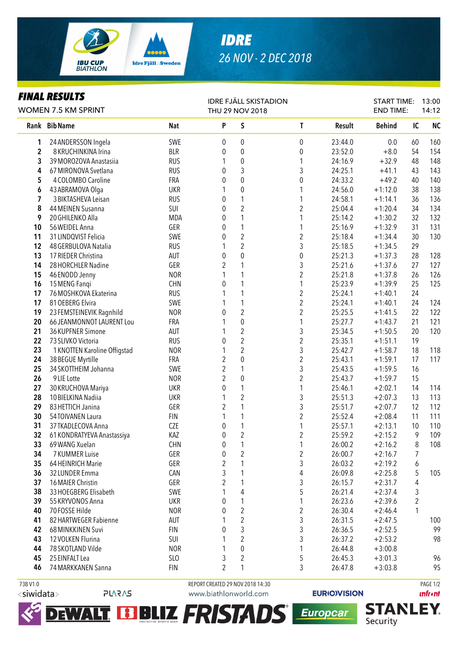

## *IDRE 26 NOV - 2 DEC 2018*

## *FINAL RESULTS*

| I IIIAL ILLYVLI <i>Y</i><br><b>WOMEN 7.5 KM SPRINT</b> |                              |                   | <b>IDRE FJÄLL SKISTADION</b><br>THU 29 NOV 2018 |                         |                         |         | <b>START TIME:</b><br><b>END TIME:</b> |                         | 13:00<br>14:12 |
|--------------------------------------------------------|------------------------------|-------------------|-------------------------------------------------|-------------------------|-------------------------|---------|----------------------------------------|-------------------------|----------------|
|                                                        | Rank Bib Name                | <b>Nat</b>        | P                                               | S                       | $\mathsf{T}$            | Result  | <b>Behind</b>                          | IC                      | <b>NC</b>      |
| 1                                                      | 24 ANDERSSON Ingela          | SWE               | 0                                               | 0                       | $\pmb{0}$               | 23:44.0 | 0.0                                    | 60                      | 160            |
| $\mathbf 2$                                            | 8 KRUCHINKINA Irina          | <b>BLR</b>        | $\boldsymbol{0}$                                | $\boldsymbol{0}$        | $\boldsymbol{0}$        | 23:52.0 | $+8.0$                                 | 54                      | 154            |
| 3                                                      | 39 MOROZOVA Anastasiia       | <b>RUS</b>        | 1                                               | $\boldsymbol{0}$        | 1                       | 24:16.9 | $+32.9$                                | 48                      | 148            |
| 4                                                      | 67 MIRONOVA Svetlana         | <b>RUS</b>        | $\boldsymbol{0}$                                | 3                       | 3                       | 24:25.1 | $+41.1$                                | 43                      | 143            |
| 5                                                      | 4 COLOMBO Caroline           | FRA               | $\boldsymbol{0}$                                | $\pmb{0}$               | 0                       | 24:33.2 | $+49.2$                                | 40                      | 140            |
| 6                                                      | 43 ABRAMOVA Olga             | <b>UKR</b>        | 1                                               | $\pmb{0}$               | 1                       | 24:56.0 | $+1:12.0$                              | 38                      | 138            |
| 7                                                      | 3 BIKTASHEVA Leisan          | <b>RUS</b>        | $\boldsymbol{0}$                                | $\mathbf{1}$            | 1                       | 24:58.1 | $+1:14.1$                              | 36                      | 136            |
| 8                                                      | 44 MEINEN Susanna            | SUI               | $\pmb{0}$                                       | $\overline{2}$          | $\overline{c}$          | 25:04.4 | $+1:20.4$                              | 34                      | 134            |
| 9                                                      | 20 GHILENKO Alla             | <b>MDA</b>        | 0                                               | $\mathbf{1}$            | 1                       | 25:14.2 | $+1:30.2$                              | 32                      | 132            |
| 10                                                     | 56 WEIDEL Anna               | GER               | $\boldsymbol{0}$                                | $\mathbf{1}$            | 1                       | 25:16.9 | $+1:32.9$                              | 31                      | 131            |
| 11                                                     | 31 LINDQVIST Felicia         | SWE               | $\boldsymbol{0}$                                | $\overline{2}$          | $\overline{c}$          | 25:18.4 | $+1:34.4$                              | 30                      | 130            |
| 12                                                     | 48 GERBULOVA Natalia         | <b>RUS</b>        | 1                                               | $\overline{2}$          | 3                       | 25:18.5 | $+1:34.5$                              | 29                      |                |
| 13                                                     | 17 RIEDER Christina          | AUT               | 0                                               | $\overline{0}$          | $\pmb{0}$               | 25:21.3 | $+1:37.3$                              | 28                      | 128            |
| 14                                                     | 28 HORCHLER Nadine           | GER               | $\overline{2}$                                  | 1                       | 3                       | 25:21.6 | $+1:37.6$                              | 27                      | 127            |
| 15                                                     | 46 ENODD Jenny               | <b>NOR</b>        | 1                                               | 1                       | $\overline{c}$          | 25:21.8 | $+1:37.8$                              | 26                      | 126            |
| 16                                                     | 15 MENG Fanqi                | <b>CHN</b>        | $\theta$                                        | 1                       | 1                       | 25:23.9 | $+1:39.9$                              | 25                      | 125            |
| 17                                                     | 76 MOSHKOVA Ekaterina        | <b>RUS</b>        | 1                                               | 1                       | $\overline{c}$          | 25:24.1 | $+1:40.1$                              | 24                      |                |
| 17                                                     | 81 OEBERG Elvira             | SWE               | 1                                               | 1                       | $\overline{c}$          | 25:24.1 | $+1:40.1$                              | 24                      | 124            |
| 19                                                     | 23 FEMSTEINEVIK Ragnhild     | <b>NOR</b>        | 0                                               | $\overline{2}$          | $\overline{c}$          | 25:25.5 | $+1:41.5$                              | 22                      | 122            |
| 20                                                     | 66 JEANMONNOT LAURENT Lou    | FRA               | 1                                               | $\mathbf 0$             | 1                       | 25:27.7 | $+1:43.7$                              | 21                      | 121            |
| 21                                                     | 36 KUPFNER Simone            | AUT               | 1                                               | $\overline{c}$          | 3                       | 25:34.5 | $+1:50.5$                              | 20                      | 120            |
| 22                                                     | 73 SLIVKO Victoria           | <b>RUS</b>        | 0                                               | $\overline{c}$          | $\overline{c}$          | 25:35.1 | $+1:51.1$                              | 19                      |                |
| 23                                                     | 1 KNOTTEN Karoline Offigstad | <b>NOR</b>        | $\mathbf{1}$                                    | $\overline{c}$          | 3                       | 25:42.7 | $+1:58.7$                              | 18                      | 118            |
| 24                                                     | 38 BEGUE Myrtille            | FRA               | $\overline{2}$                                  | $\pmb{0}$               | $\overline{c}$          | 25:43.1 | $+1:59.1$                              | 17                      | 117            |
| 25                                                     | 34 SKOTTHEIM Johanna         | SWE               | $\overline{2}$                                  | 1                       | 3                       | 25:43.5 | $+1:59.5$                              | 16                      |                |
| 26                                                     | 9LIE Lotte                   | <b>NOR</b>        | $\overline{2}$                                  | $\boldsymbol{0}$        | $\overline{c}$          | 25:43.7 | $+1:59.7$                              | 15                      |                |
| 27                                                     | 30 KRUCHOVA Mariya           | <b>UKR</b>        | $\boldsymbol{0}$                                | $\mathbf{1}$            | 1                       | 25:46.1 | $+2:02.1$                              | 14                      | 114            |
| 28                                                     | 10 BIELKINA Nadiia           | <b>UKR</b>        | $\mathbf{1}$                                    | $\overline{c}$          | 3                       | 25:51.3 | $+2:07.3$                              | 13                      | 113            |
| 29                                                     | 83 HETTICH Janina            | GER               | $\overline{2}$                                  | $\mathbf{1}$            | 3                       | 25:51.7 | $+2:07.7$                              | 12                      | 112            |
| 30                                                     | 54TOIVANEN Laura             | <b>FIN</b>        | 1                                               | 1                       | $\overline{c}$          | 25:52.4 | $+2:08.4$                              | 11                      | 111            |
| 31                                                     | 37 TKADLECOVA Anna           | <b>CZE</b>        | 0                                               | $\mathbf{1}$            | 1                       | 25:57.1 | $+2:13.1$                              | 10                      | 110            |
| 32                                                     | 61 KONDRATYEVA Anastassiya   | KAZ               | $\boldsymbol{0}$                                | $\overline{c}$          | $\overline{c}$          | 25:59.2 | $+2:15.2$                              | 9                       | 109            |
| 33                                                     | 69 WANG Xuelan               | CHN               | $\pmb{0}$                                       | 1                       | 1                       | 26:00.2 | $+2:16.2$                              | $\,8\,$                 | 108            |
| 34                                                     | 7 KUMMER Luise               | GER               | 0                                               | $\sqrt{2}$              | $\overline{\mathbf{c}}$ | 26:00.7 | $+2:16.7$                              | 7                       |                |
| 35                                                     | 64 HEINRICH Marie            | GER               | 2                                               | 1                       | 3                       | 26:03.2 | $+2:19.2$                              | 6                       |                |
| 36                                                     | 32 LUNDER Emma               | CAN               | 3                                               | 1                       | 4                       | 26:09.8 | $+2:25.8$                              | 5                       | 105            |
| 37                                                     | 16 MAIER Christin            | GER               | $\overline{2}$                                  | 1                       | 3                       | 26:15.7 | $+2:31.7$                              | 4                       |                |
| 38                                                     | 33 HOEGBERG Elisabeth        | SWE               |                                                 | 4                       | 5                       | 26:21.4 | $+2:37.4$                              | 3                       |                |
| 39                                                     | 55 KRYVONOS Anna             | UKR               | 0                                               | 1                       | 1                       | 26:23.6 | $+2:39.6$                              | $\overline{\mathbf{c}}$ |                |
| 40                                                     | 70 FOSSE Hilde               | <b>NOR</b>        | 0                                               | $\overline{2}$          | $\overline{\mathbf{c}}$ | 26:30.4 | $+2:46.4$                              | 1                       |                |
|                                                        | 82 HARTWEGER Fabienne        |                   | 1                                               | $\overline{2}$          |                         |         |                                        |                         |                |
| 41<br>42                                               | 68 MINKKINEN Suvi            | AUT<br><b>FIN</b> |                                                 | 3                       | 3                       | 26:31.5 | $+2:47.5$                              |                         | 100<br>99      |
|                                                        |                              |                   | 0                                               |                         | 3                       | 26:36.5 | $+2:52.5$                              |                         |                |
| 43                                                     | 12 VOLKEN Flurina            | SUI               | 1                                               | $\overline{2}$          | 3                       | 26:37.2 | $+2:53.2$                              |                         | 98             |
| 44                                                     | 78 SKOTLAND Vilde            | <b>NOR</b>        | 1                                               | 0                       | 1                       | 26:44.8 | $+3:00.8$                              |                         |                |
| 45                                                     | 25 EINFALT Lea               | SLO               | 3                                               | $\overline{\mathbf{c}}$ | 5                       | 26:45.3 | $+3:01.3$                              |                         | 96             |
| 46                                                     | 74 MARKKANEN Sanna           | <b>FIN</b>        | $\overline{2}$                                  | 1                       | 3                       | 26:47.8 | $+3:03.8$                              |                         | 95             |
| 73B V1.0                                               |                              |                   | REPORT CREATED 29 NOV 2018 14:30                |                         |                         |         |                                        |                         | PAGE 1/2       |



 $\blacktriangleright$ Γl **PLARAS** 

www.biathlonworld.com

WALT, EBBLIZ FRISTADS

**EURIOVISION** 

Europcar

**unfront**